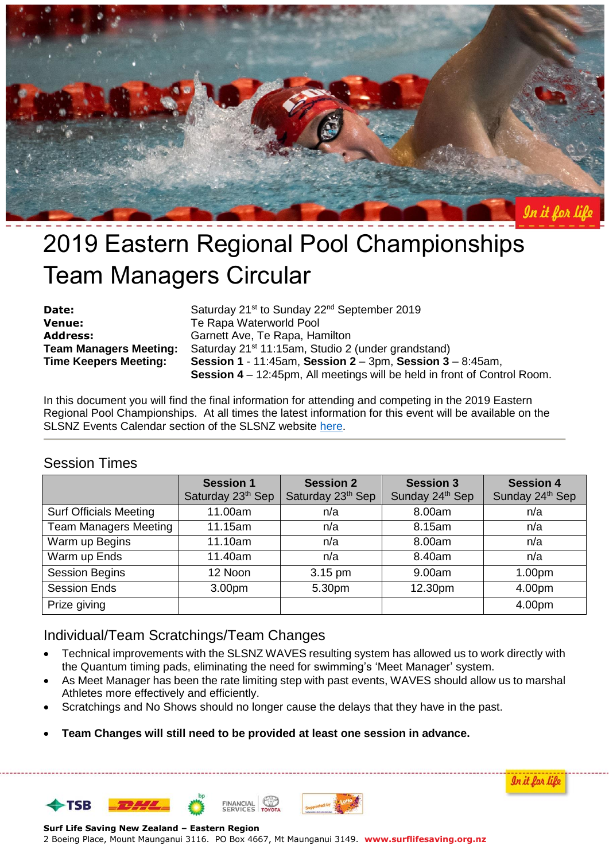

# 2019 Eastern Regional Pool Championships Team Managers Circular

| Date:                         |
|-------------------------------|
| <b>Venue:</b>                 |
| <b>Address:</b>               |
| <b>Team Managers Meeting:</b> |
| <b>Time Keepers Meeting:</b>  |
|                               |

**Date:** Saturday 21<sup>st</sup> to Sunday 22<sup>nd</sup> September 2019 **Venue:** Te Rapa Waterworld Pool **Address:** Garnett Ave, Te Rapa, Hamilton Saturday 21<sup>st</sup> 11:15am, Studio 2 (under grandstand) **Time Keepers Meeting: Session 1** - 11:45am, **Session 2** – 3pm, **Session 3** – 8:45am, **Session 4** – 12:45pm, All meetings will be held in front of Control Room.

In this document you will find the final information for attending and competing in the 2019 Eastern Regional Pool Championships. At all times the latest information for this event will be available on the SLSNZ Events Calendar section of the SLSNZ website [here.](https://www.surflifesaving.org.nz/calendar/2019/september/eastern-regional-pool-rescue-championships)

#### Session Times

|                               | <b>Session 1</b><br>Saturday 23th Sep | <b>Session 2</b><br>Saturday 23th Sep | <b>Session 3</b><br>Sunday 24th Sep | <b>Session 4</b><br>Sunday 24th Sep |
|-------------------------------|---------------------------------------|---------------------------------------|-------------------------------------|-------------------------------------|
| <b>Surf Officials Meeting</b> | 11.00am                               | n/a                                   | 8.00am                              | n/a                                 |
| <b>Team Managers Meeting</b>  | 11.15am                               | n/a                                   | 8.15am                              | n/a                                 |
| Warm up Begins                | 11.10am                               | n/a                                   | 8.00am                              | n/a                                 |
| Warm up Ends                  | 11.40am                               | n/a                                   | 8.40am                              | n/a                                 |
| <b>Session Begins</b>         | 12 Noon                               | 3.15 pm                               | 9.00am                              | 1.00pm                              |
| <b>Session Ends</b>           | 3.00pm                                | 5.30pm                                | 12.30pm                             | 4.00pm                              |
| Prize giving                  |                                       |                                       |                                     | 4.00pm                              |

# Individual/Team Scratchings/Team Changes

- Technical improvements with the SLSNZ WAVES resulting system has allowed us to work directly with the Quantum timing pads, eliminating the need for swimming's 'Meet Manager' system.
- As Meet Manager has been the rate limiting step with past events, WAVES should allow us to marshal Athletes more effectively and efficiently.
- Scratchings and No Shows should no longer cause the delays that they have in the past.
- **Team Changes will still need to be provided at least one session in advance.**

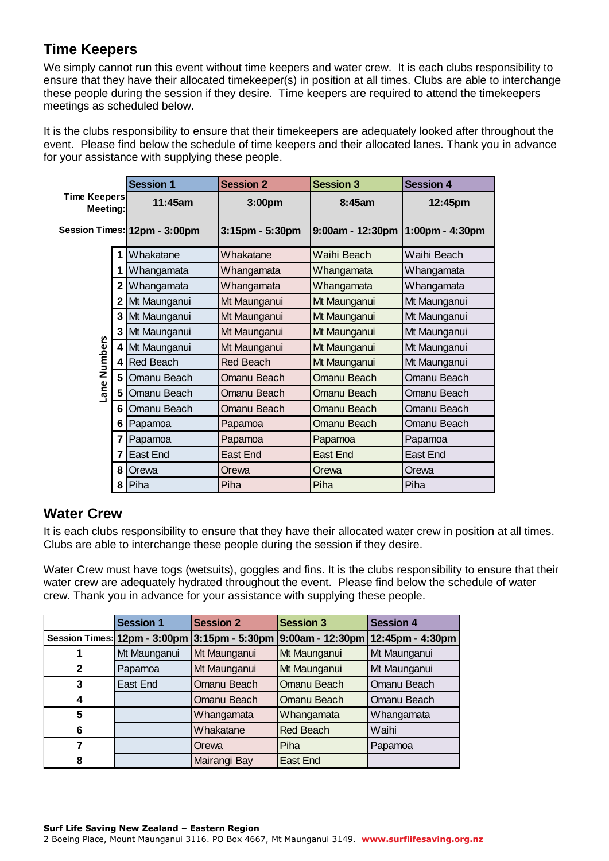# **Time Keepers**

We simply cannot run this event without time keepers and water crew. It is each clubs responsibility to ensure that they have their allocated timekeeper(s) in position at all times. Clubs are able to interchange these people during the session if they desire. Time keepers are required to attend the timekeepers meetings as scheduled below.

It is the clubs responsibility to ensure that their timekeepers are adequately looked after throughout the event. Please find below the schedule of time keepers and their allocated lanes. Thank you in advance for your assistance with supplying these people.

|                                 |                | <b>Session 1</b>             | <b>Session 2</b> | <b>Session 3</b> | <b>Session 4</b> |
|---------------------------------|----------------|------------------------------|------------------|------------------|------------------|
| <b>Time Keepers</b><br>Meeting: |                | 11:45am                      | 3:00pm           | 8:45am           | 12:45pm          |
|                                 |                | Session Times: 12pm - 3:00pm | 3:15pm - 5:30pm  | 9:00am - 12:30pm | 1:00pm - 4:30pm  |
|                                 |                | Whakatane                    | Whakatane        | Waihi Beach      | Waihi Beach      |
|                                 | 1              | Whangamata                   | Whangamata       | Whangamata       | Whangamata       |
|                                 | $\overline{2}$ | Whangamata                   | Whangamata       | Whangamata       | Whangamata       |
|                                 | $\mathbf{2}$   | Mt Maunganui                 | Mt Maunganui     | Mt Maunganui     | Mt Maunganui     |
|                                 | 3 <sup>1</sup> | Mt Maunganui                 | Mt Maunganui     | Mt Maunganui     | Mt Maunganui     |
|                                 | 3              | Mt Maunganui                 | Mt Maunganui     | Mt Maunganui     | Mt Maunganui     |
| ane Numbers                     | $\vert$        | Mt Maunganui                 | Mt Maunganui     | Mt Maunganui     | Mt Maunganui     |
|                                 | $\overline{4}$ | <b>Red Beach</b>             | <b>Red Beach</b> | Mt Maunganui     | Mt Maunganui     |
|                                 | 5 <sup>1</sup> | Omanu Beach                  | Omanu Beach      | Omanu Beach      | Omanu Beach      |
|                                 | 5              | Omanu Beach                  | Omanu Beach      | Omanu Beach      | Omanu Beach      |
|                                 | 6              | Omanu Beach                  | Omanu Beach      | Omanu Beach      | Omanu Beach      |
|                                 | 6              | Papamoa                      | Papamoa          | Omanu Beach      | Omanu Beach      |
|                                 | 7              | Papamoa                      | Papamoa          | Papamoa          | Papamoa          |
|                                 | 7              | East End                     | <b>East End</b>  | <b>East End</b>  | East End         |
|                                 | 8              | Orewa                        | Orewa            | Orewa            | Orewa            |
|                                 | 8              | Piha                         | Piha             | Piha             | Piha             |

# **Water Crew**

It is each clubs responsibility to ensure that they have their allocated water crew in position at all times. Clubs are able to interchange these people during the session if they desire.

Water Crew must have togs (wetsuits), goggles and fins. It is the clubs responsibility to ensure that their water crew are adequately hydrated throughout the event. Please find below the schedule of water crew. Thank you in advance for your assistance with supplying these people.

|   | <b>Session 1</b>             | <b>Session 2</b>   | <b>Session 3</b>                 | <b>Session 4</b> |
|---|------------------------------|--------------------|----------------------------------|------------------|
|   | Session Times: 12pm - 3:00pm |                    | 3:15pm - 5:30pm 9:00am - 12:30pm | 12:45pm - 4:30pm |
|   | Mt Maunganui                 | Mt Maunganui       | Mt Maunganui                     | Mt Maunganui     |
| 2 | Papamoa                      | Mt Maunganui       | Mt Maunganui                     | Mt Maunganui     |
| 3 | East End                     | <b>Omanu Beach</b> | Omanu Beach                      | Omanu Beach      |
| 4 |                              | Omanu Beach        | Omanu Beach                      | Omanu Beach      |
| 5 |                              | Whangamata         | Whangamata                       | Whangamata       |
| 6 |                              | Whakatane          | <b>Red Beach</b>                 | Waihi            |
| 7 |                              | Orewa              | Piha                             | Papamoa          |
| 8 |                              | Mairangi Bay       | East End                         |                  |